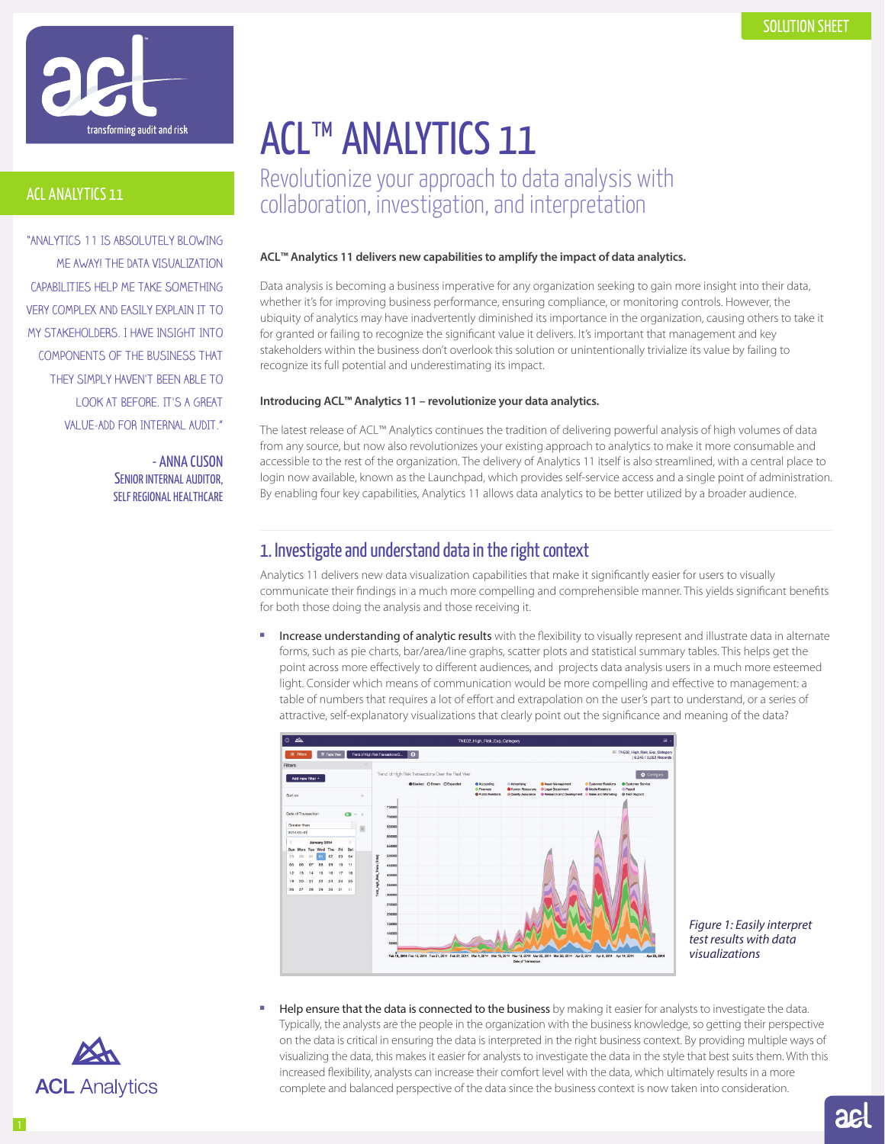

## ACL ANALYTICS 11

"ANALYTICS 11 IS ABSOLUTELY BLOWING ME AWAY! THE DATA VISUALIZATION CAPABILITIES HELP ME TAKE SOMETHING VERY COMPLEX AND EASILY EXPLAIN IT TO MY STAKEHOLDERS. I HAVE INSIGHT INTO COMPONENTS OF THE BUSINESS THAT THEY SIMPLY HAVEN'T BEEN ABLE TO LOOK AT BEFORE. IT'S A GREAT VALUE-ADD FOR INTERNAL AUDIT."

> - ANNA CUSON SENIOR INTERNAL AUDITOR, SELF REGIONAL HEALTHCARE

# ACL™ ANALYTICS 11 Revolutionize your approach to data analysis with

collaboration, investigation, and interpretation

#### **ACL™ Analytics 11 delivers new capabilities to amplify the impact of data analytics.**

Data analysis is becoming a business imperative for any organization seeking to gain more insight into their data, whether it's for improving business performance, ensuring compliance, or monitoring controls. However, the ubiquity of analytics may have inadvertently diminished its importance in the organization, causing others to take it for granted or failing to recognize the significant value it delivers. It's important that management and key stakeholders within the business don't overlook this solution or unintentionally trivialize its value by failing to recognize its full potential and underestimating its impact.

#### **Introducing ACL™ Analytics 11 – revolutionize your data analytics.**

The latest release of ACL™ Analytics continues the tradition of delivering powerful analysis of high volumes of data from any source, but now also revolutionizes your existing approach to analytics to make it more consumable and accessible to the rest of the organization. The delivery of Analytics 11 itself is also streamlined, with a central place to login now available, known as the Launchpad, which provides self-service access and a single point of administration. By enabling four key capabilities, Analytics 11 allows data analytics to be better utilized by a broader audience.

## 1. Investigate and understand data in the right context

Analytics 11 delivers new data visualization capabilities that make it significantly easier for users to visually communicate their findings in a much more compelling and comprehensible manner. This yields significant benefits for both those doing the analysis and those receiving it.

Increase understanding of analytic results with the flexibility to visually represent and illustrate data in alternate forms, such as pie charts, bar/area/line graphs, scatter plots and statistical summary tables. This helps get the point across more effectively to different audiences, and projects data analysis users in a much more esteemed light. Consider which means of communication would be more compelling and effective to management: a table of numbers that requires a lot of effort and extrapolation on the user's part to understand, or a series of attractive, self-explanatory visualizations that clearly point out the significance and meaning of the data?



*Figure 1: Easily interpret test results with data visualizations*

Help ensure that the data is connected to the business by making it easier for analysts to investigate the data. Typically, the analysts are the people in the organization with the business knowledge, so getting their perspective on the data is critical in ensuring the data is interpreted in the right business context. By providing multiple ways of visualizing the data, this makes it easier for analysts to investigate the data in the style that best suits them. With this increased flexibility, analysts can increase their comfort level with the data, which ultimately results in a more complete and balanced perspective of the data since the business context is now taken into consideration.

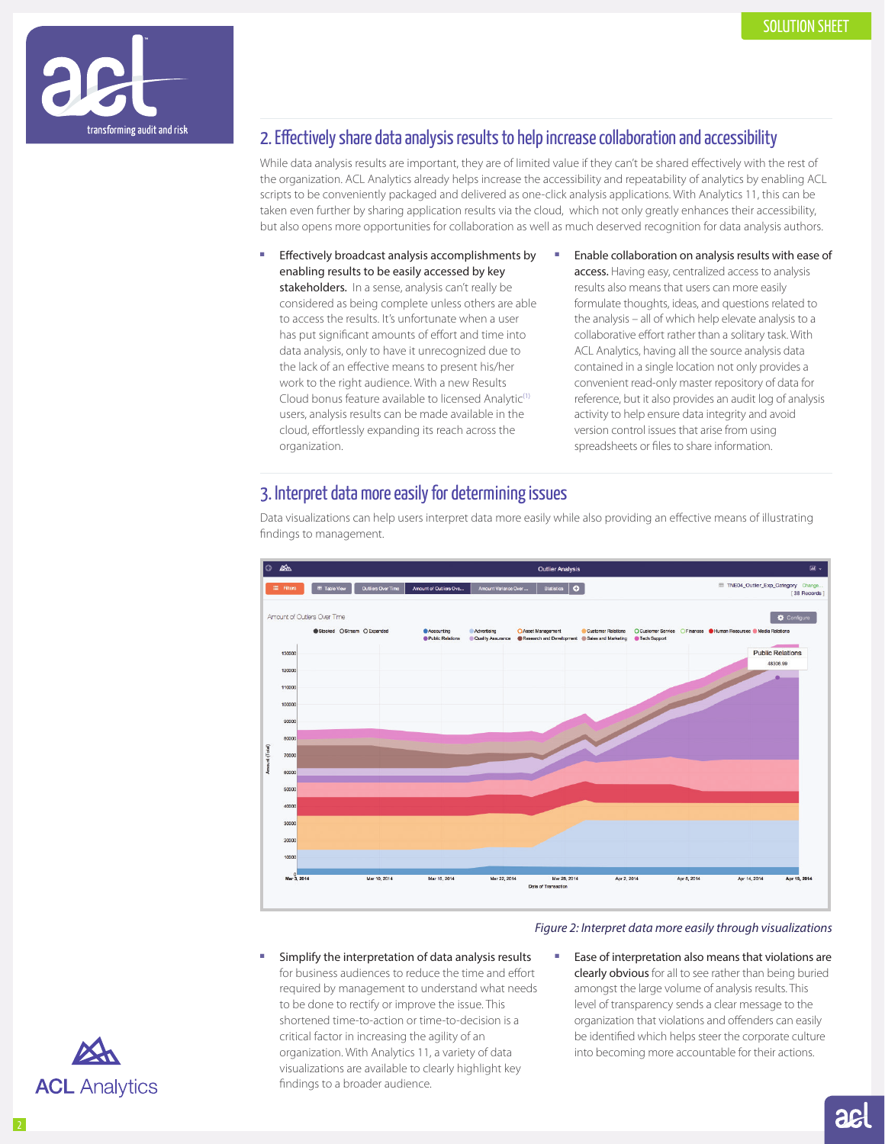

## 2. Effectively share data analysis results to help increase collaboration and accessibility

While data analysis results are important, they are of limited value if they can't be shared effectively with the rest of the organization. ACL Analytics already helps increase the accessibility and repeatability of analytics by enabling ACL scripts to be conveniently packaged and delivered as one-click analysis applications. With Analytics 11, this can be taken even further by sharing application results via the cloud, which not only greatly enhances their accessibility, but also opens more opportunities for collaboration as well as much deserved recognition for data analysis authors.

- Effectively broadcast analysis accomplishments by enabling results to be easily accessed by key stakeholders. In a sense, analysis can't really be considered as being complete unless others are able to access the results. It's unfortunate when a user has put significant amounts of effort and time into data analysis, only to have it unrecognized due to the lack of an effective means to present his/her work to the right audience. With a new Results Cloud bonus feature available to licensed Analytic<sup>(1)</sup> users, analysis results can be made available in the cloud, effortlessly expanding its reach across the organization.
- Enable collaboration on analysis results with ease of access. Having easy, centralized access to analysis results also means that users can more easily formulate thoughts, ideas, and questions related to the analysis – all of which help elevate analysis to a collaborative effort rather than a solitary task. With ACL Analytics, having all the source analysis data contained in a single location not only provides a convenient read-only master repository of data for reference, but it also provides an audit log of analysis activity to help ensure data integrity and avoid version control issues that arise from using spreadsheets or files to share information.

## 3. Interpret data more easily for determining issues



Data visualizations can help users interpret data more easily while also providing an effective means of illustrating findings to management.

#### *Figure 2: Interpret data more easily through visualizations*

- Simplify the interpretation of data analysis results for business audiences to reduce the time and effort required by management to understand what needs to be done to rectify or improve the issue. This shortened time-to-action or time-to-decision is a critical factor in increasing the agility of an organization. With Analytics 11, a variety of data visualizations are available to clearly highlight key findings to a broader audience.
- Ease of interpretation also means that violations are clearly obvious for all to see rather than being buried amongst the large volume of analysis results. This level of transparency sends a clear message to the organization that violations and offenders can easily be identified which helps steer the corporate culture into becoming more accountable for their actions.